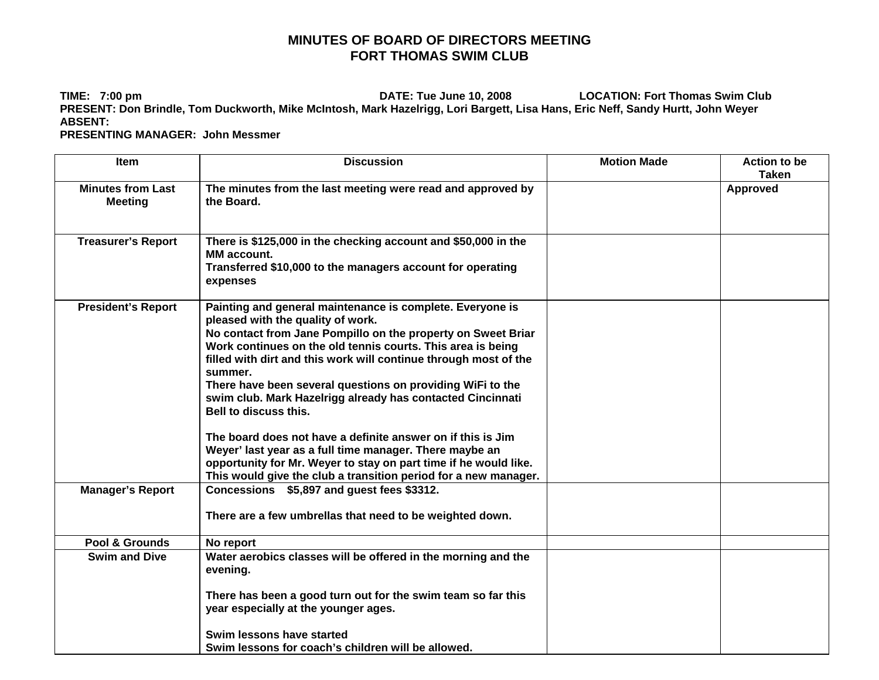## **MINUTES OF BOARD OF DIRECTORS MEETING FORT THOMAS SWIM CLUB**

**TIME: 7:00 pm DATE: Tue June 10, 2008 LOCATION: Fort Thomas Swim Club PRESENT: Don Brindle, Tom Duckworth, Mike McIntosh, Mark Hazelrigg, Lori Bargett, Lisa Hans, Eric Neff, Sandy Hurtt, John Weyer ABSENT:** 

 **PRESENTING MANAGER: John Messmer** 

| <b>Item</b>                                | <b>Discussion</b>                                                                                                                                                                                                                                                                                                                                                                                                                                                                                                                                                                                                                                               | <b>Motion Made</b> | <b>Action to be</b><br><b>Taken</b> |
|--------------------------------------------|-----------------------------------------------------------------------------------------------------------------------------------------------------------------------------------------------------------------------------------------------------------------------------------------------------------------------------------------------------------------------------------------------------------------------------------------------------------------------------------------------------------------------------------------------------------------------------------------------------------------------------------------------------------------|--------------------|-------------------------------------|
| <b>Minutes from Last</b><br><b>Meeting</b> | The minutes from the last meeting were read and approved by<br>the Board.                                                                                                                                                                                                                                                                                                                                                                                                                                                                                                                                                                                       |                    | <b>Approved</b>                     |
| <b>Treasurer's Report</b>                  | There is \$125,000 in the checking account and \$50,000 in the<br><b>MM</b> account.<br>Transferred \$10,000 to the managers account for operating<br>expenses                                                                                                                                                                                                                                                                                                                                                                                                                                                                                                  |                    |                                     |
| <b>President's Report</b>                  | Painting and general maintenance is complete. Everyone is<br>pleased with the quality of work.<br>No contact from Jane Pompillo on the property on Sweet Briar<br>Work continues on the old tennis courts. This area is being<br>filled with dirt and this work will continue through most of the<br>summer.<br>There have been several questions on providing WiFi to the<br>swim club. Mark Hazelrigg already has contacted Cincinnati<br>Bell to discuss this.<br>The board does not have a definite answer on if this is Jim<br>Weyer' last year as a full time manager. There maybe an<br>opportunity for Mr. Weyer to stay on part time if he would like. |                    |                                     |
|                                            | This would give the club a transition period for a new manager.<br>Concessions \$5,897 and guest fees \$3312.                                                                                                                                                                                                                                                                                                                                                                                                                                                                                                                                                   |                    |                                     |
| <b>Manager's Report</b>                    | There are a few umbrellas that need to be weighted down.                                                                                                                                                                                                                                                                                                                                                                                                                                                                                                                                                                                                        |                    |                                     |
| Pool & Grounds                             | No report                                                                                                                                                                                                                                                                                                                                                                                                                                                                                                                                                                                                                                                       |                    |                                     |
| <b>Swim and Dive</b>                       | Water aerobics classes will be offered in the morning and the<br>evening.                                                                                                                                                                                                                                                                                                                                                                                                                                                                                                                                                                                       |                    |                                     |
|                                            | There has been a good turn out for the swim team so far this<br>year especially at the younger ages.                                                                                                                                                                                                                                                                                                                                                                                                                                                                                                                                                            |                    |                                     |
|                                            | Swim lessons have started<br>Swim lessons for coach's children will be allowed.                                                                                                                                                                                                                                                                                                                                                                                                                                                                                                                                                                                 |                    |                                     |